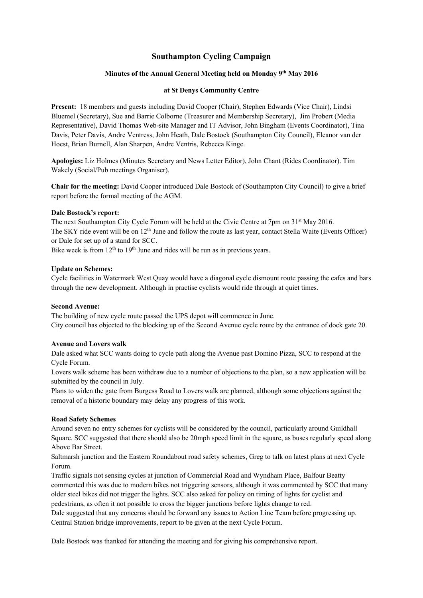# **Southampton Cycling Campaign**

# **Minutes of the Annual General Meeting held on Monday 9th May 2016**

### **at St Denys Community Centre**

**Present:** 18 members and guests including David Cooper (Chair), Stephen Edwards (Vice Chair), Lindsi Bluemel (Secretary), Sue and Barrie Colborne (Treasurer and Membership Secretary), Jim Probert (Media Representative), David Thomas Web-site Manager and IT Advisor, John Bingham (Events Coordinator), Tina Davis, Peter Davis, Andre Ventress, John Heath, Dale Bostock (Southampton City Council), Eleanor van der Hoest, Brian Burnell, Alan Sharpen, Andre Ventris, Rebecca Kinge.

**Apologies:** Liz Holmes (Minutes Secretary and News Letter Editor), John Chant (Rides Coordinator). Tim Wakely (Social/Pub meetings Organiser).

**Chair for the meeting:** David Cooper introduced Dale Bostock of (Southampton City Council) to give a brief report before the formal meeting of the AGM.

#### **Dale Bostock's report:**

The next Southampton City Cycle Forum will be held at the Civic Centre at 7pm on 31<sup>st</sup> May 2016. The SKY ride event will be on 12<sup>th</sup> June and follow the route as last year, contact Stella Waite (Events Officer) or Dale for set up of a stand for SCC.

Bike week is from  $12<sup>th</sup>$  to  $19<sup>th</sup>$  June and rides will be run as in previous years.

#### **Update on Schemes:**

Cycle facilities in Watermark West Quay would have a diagonal cycle dismount route passing the cafes and bars through the new development. Although in practise cyclists would ride through at quiet times.

## **Second Avenue:**

The building of new cycle route passed the UPS depot will commence in June. City council has objected to the blocking up of the Second Avenue cycle route by the entrance of dock gate 20.

#### **Avenue and Lovers walk**

Dale asked what SCC wants doing to cycle path along the Avenue past Domino Pizza, SCC to respond at the Cycle Forum.

Lovers walk scheme has been withdraw due to a number of objections to the plan, so a new application will be submitted by the council in July.

Plans to widen the gate from Burgess Road to Lovers walk are planned, although some objections against the removal of a historic boundary may delay any progress of this work.

### **Road Safety Schemes**

Around seven no entry schemes for cyclists will be considered by the council, particularly around Guildhall Square. SCC suggested that there should also be 20mph speed limit in the square, as buses regularly speed along Above Bar Street.

Saltmarsh junction and the Eastern Roundabout road safety schemes, Greg to talk on latest plans at next Cycle Forum.

Traffic signals not sensing cycles at junction of Commercial Road and Wyndham Place, Balfour Beatty commented this was due to modern bikes not triggering sensors, although it was commented by SCC that many older steel bikes did not trigger the lights. SCC also asked for policy on timing of lights for cyclist and pedestrians, as often it not possible to cross the bigger junctions before lights change to red.

Dale suggested that any concerns should be forward any issues to Action Line Team before progressing up. Central Station bridge improvements, report to be given at the next Cycle Forum.

Dale Bostock was thanked for attending the meeting and for giving his comprehensive report.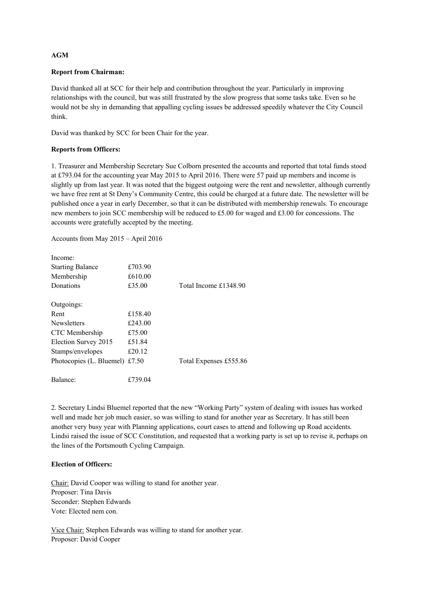# **AGM**

## **Report from Chairman:**

David thanked all at SCC for their help and contribution throughout the year. Particularly in improving relationships with the council, but was still frustrated by the slow progress that some tasks take. Even so he would not be shy in demanding that appalling cycling issues be addressed speedily whatever the City Council think.

David was thanked by SCC for been Chair for the year.

# **Reports from Officers:**

1. Treasurer and Membership Secretary Sue Colborn presented the accounts and reported that total funds stood at £793.04 for the accounting year May 2015 to April 2016. There were 57 paid up members and income is slightly up from last year. It was noted that the biggest outgoing were the rent and newsletter, although currently we have free rent at St Deny's Community Centre, this could be charged at a future date. The newsletter will be published once a year in early December, so that it can be distributed with membership renewals. To encourage new members to join SCC membership will be reduced to £5.00 for waged and £3.00 for concessions. The accounts were gratefully accepted by the meeting.

Accounts from May 2015 – April 2016

| Income:                  |         |                        |
|--------------------------|---------|------------------------|
| <b>Starting Balance</b>  | £703.90 |                        |
| Membership               | £610.00 |                        |
| Donations                | £35.00  | Total Income £1348.90  |
| Outgoings:               |         |                        |
| Rent                     | £158.40 |                        |
| <b>Newsletters</b>       | £243.00 |                        |
| CTC Membership           | £75.00  |                        |
| Election Survey 2015     | £51.84  |                        |
| Stamps/envelopes         | £20.12  |                        |
| Photocopies (L. Bluemel) | £7.50   | Total Expenses £555.86 |
| Balance:                 | £739.04 |                        |

2. Secretary Lindsi Bluemel reported that the new "Working Party" system of dealing with issues has worked well and made her job much easier, so was willing to stand for another year as Secretary. It has still been another very busy year with Planning applications, court cases to attend and following up Road accidents. Lindsi raised the issue of SCC Constitution, and requested that a working party is set up to revise it, perhaps on the lines of the Portsmouth Cycling Campaign.

## **Election of Officers:**

Chair: David Cooper was willing to stand for another year. Proposer: Tina Davis Seconder: Stephen Edwards Vote: Elected nem con.

Vice Chair: Stephen Edwards was willing to stand for another year. Proposer: David Cooper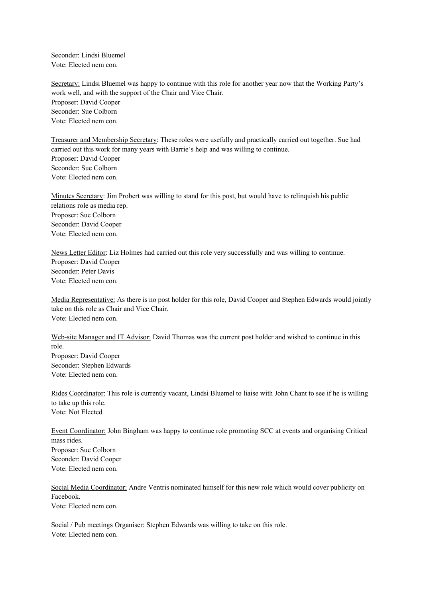Seconder: Lindsi Bluemel Vote: Elected nem con.

Secretary: Lindsi Bluemel was happy to continue with this role for another year now that the Working Party's work well, and with the support of the Chair and Vice Chair. Proposer: David Cooper Seconder: Sue Colborn Vote: Elected nem con.

Treasurer and Membership Secretary: These roles were usefully and practically carried out together. Sue had carried out this work for many years with Barrie's help and was willing to continue. Proposer: David Cooper Seconder: Sue Colborn Vote: Elected nem con.

Minutes Secretary: Jim Probert was willing to stand for this post, but would have to relinquish his public relations role as media rep. Proposer: Sue Colborn Seconder: David Cooper Vote: Elected nem con.

News Letter Editor: Liz Holmes had carried out this role very successfully and was willing to continue. Proposer: David Cooper Seconder: Peter Davis Vote: Elected nem con.

Media Representative: As there is no post holder for this role, David Cooper and Stephen Edwards would jointly take on this role as Chair and Vice Chair. Vote: Elected nem con.

Web-site Manager and IT Advisor: David Thomas was the current post holder and wished to continue in this role. Proposer: David Cooper Seconder: Stephen Edwards Vote: Elected nem con.

Rides Coordinator: This role is currently vacant, Lindsi Bluemel to liaise with John Chant to see if he is willing to take up this role. Vote: Not Elected

Event Coordinator: John Bingham was happy to continue role promoting SCC at events and organising Critical mass rides. Proposer: Sue Colborn Seconder: David Cooper Vote: Elected nem con.

Social Media Coordinator: Andre Ventris nominated himself for this new role which would cover publicity on Facebook. Vote: Elected nem con.

Social / Pub meetings Organiser: Stephen Edwards was willing to take on this role. Vote: Elected nem con.